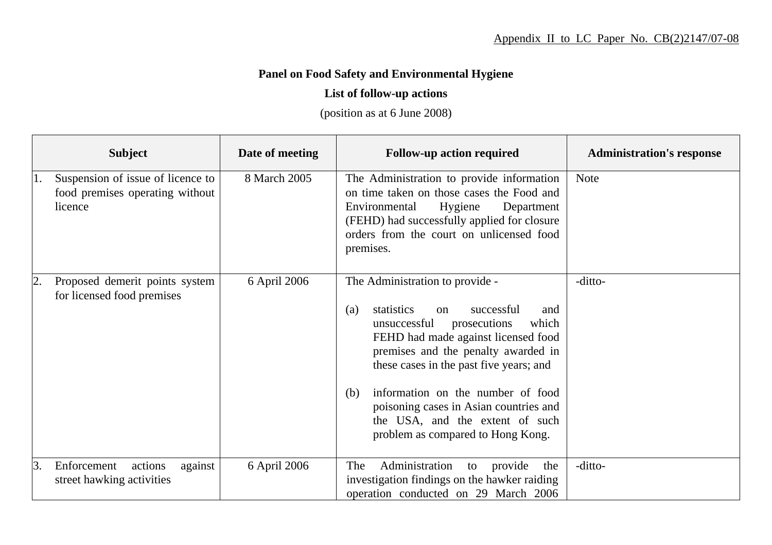## **Panel on Food Safety and Environmental Hygiene**

## **List of follow-up actions**

(position as at 6 June 2008)

|    | <b>Subject</b>                                                                  | Date of meeting | <b>Follow-up action required</b>                                                                                                                                                                                                                                                                                                                                                                                | <b>Administration's response</b> |
|----|---------------------------------------------------------------------------------|-----------------|-----------------------------------------------------------------------------------------------------------------------------------------------------------------------------------------------------------------------------------------------------------------------------------------------------------------------------------------------------------------------------------------------------------------|----------------------------------|
| 1. | Suspension of issue of licence to<br>food premises operating without<br>licence | 8 March 2005    | The Administration to provide information<br>on time taken on those cases the Food and<br>Environmental<br>Hygiene<br>Department<br>(FEHD) had successfully applied for closure<br>orders from the court on unlicensed food<br>premises.                                                                                                                                                                        | <b>Note</b>                      |
| 2. | Proposed demerit points system<br>for licensed food premises                    | 6 April 2006    | The Administration to provide -<br>successful<br>statistics<br>(a)<br>on<br>and<br>unsuccessful<br>prosecutions<br>which<br>FEHD had made against licensed food<br>premises and the penalty awarded in<br>these cases in the past five years; and<br>information on the number of food<br>(b)<br>poisoning cases in Asian countries and<br>the USA, and the extent of such<br>problem as compared to Hong Kong. | -ditto-                          |
| 3. | Enforcement<br>actions<br>against<br>street hawking activities                  | 6 April 2006    | Administration<br>The<br>provide<br>the<br>to<br>investigation findings on the hawker raiding<br>operation conducted on 29 March 2006                                                                                                                                                                                                                                                                           | -ditto-                          |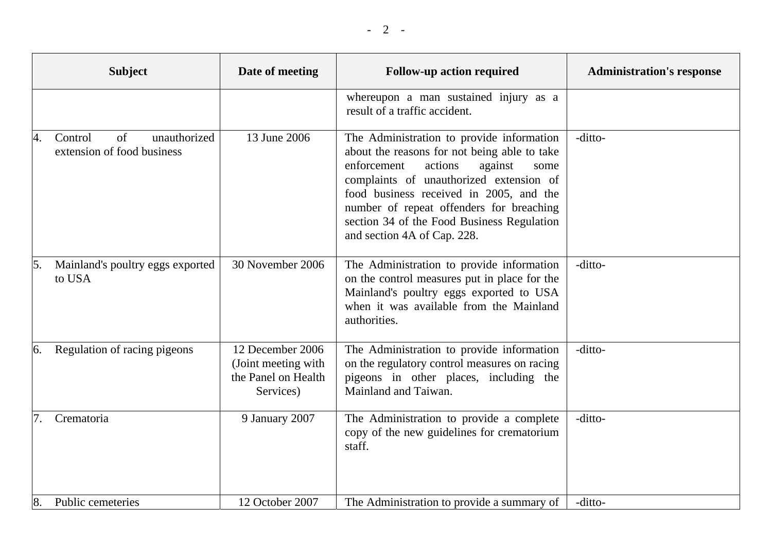|    | <b>Subject</b>                                              | Date of meeting                                                             | <b>Follow-up action required</b>                                                                                                                                                                                                                                                                                                                      | <b>Administration's response</b> |
|----|-------------------------------------------------------------|-----------------------------------------------------------------------------|-------------------------------------------------------------------------------------------------------------------------------------------------------------------------------------------------------------------------------------------------------------------------------------------------------------------------------------------------------|----------------------------------|
|    |                                                             |                                                                             | whereupon a man sustained injury as a<br>result of a traffic accident.                                                                                                                                                                                                                                                                                |                                  |
| 4. | unauthorized<br>of<br>Control<br>extension of food business | 13 June 2006                                                                | The Administration to provide information<br>about the reasons for not being able to take<br>enforcement<br>actions<br>against<br>some<br>complaints of unauthorized extension of<br>food business received in 2005, and the<br>number of repeat offenders for breaching<br>section 34 of the Food Business Regulation<br>and section 4A of Cap. 228. | -ditto-                          |
| 5. | Mainland's poultry eggs exported<br>to USA                  | 30 November 2006                                                            | The Administration to provide information<br>on the control measures put in place for the<br>Mainland's poultry eggs exported to USA<br>when it was available from the Mainland<br>authorities.                                                                                                                                                       | -ditto-                          |
| 6. | Regulation of racing pigeons                                | 12 December 2006<br>(Joint meeting with<br>the Panel on Health<br>Services) | The Administration to provide information<br>on the regulatory control measures on racing<br>pigeons in other places, including the<br>Mainland and Taiwan.                                                                                                                                                                                           | -ditto-                          |
| 7. | Crematoria                                                  | 9 January 2007                                                              | The Administration to provide a complete<br>copy of the new guidelines for crematorium<br>staff.                                                                                                                                                                                                                                                      | -ditto-                          |
| 8. | Public cemeteries                                           | 12 October 2007                                                             | The Administration to provide a summary of                                                                                                                                                                                                                                                                                                            | -ditto-                          |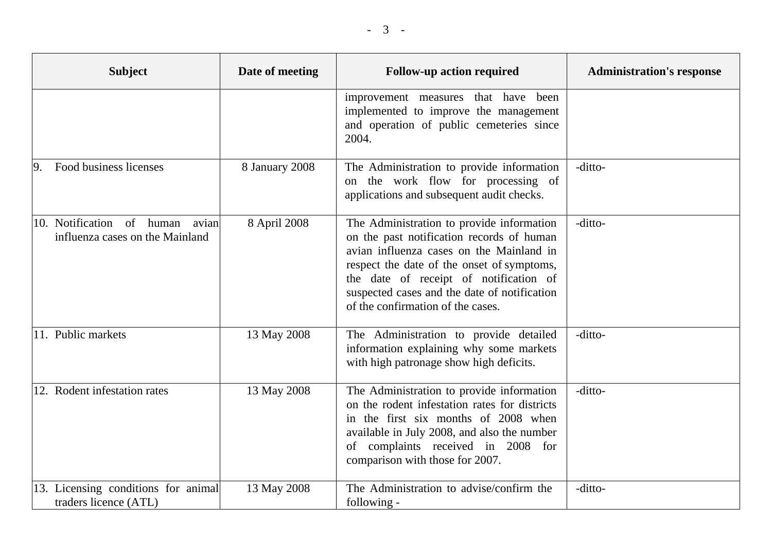| <b>Subject</b>                                                        | Date of meeting | <b>Follow-up action required</b>                                                                                                                                                                                                                                                                                | <b>Administration's response</b> |
|-----------------------------------------------------------------------|-----------------|-----------------------------------------------------------------------------------------------------------------------------------------------------------------------------------------------------------------------------------------------------------------------------------------------------------------|----------------------------------|
|                                                                       |                 | improvement measures that have been<br>implemented to improve the management<br>and operation of public cemeteries since<br>2004.                                                                                                                                                                               |                                  |
| Food business licenses<br> 9.                                         | 8 January 2008  | The Administration to provide information<br>on the work flow for processing of<br>applications and subsequent audit checks.                                                                                                                                                                                    | -ditto-                          |
| 10. Notification of human<br>avian<br>influenza cases on the Mainland | 8 April 2008    | The Administration to provide information<br>on the past notification records of human<br>avian influenza cases on the Mainland in<br>respect the date of the onset of symptoms,<br>the date of receipt of notification of<br>suspected cases and the date of notification<br>of the confirmation of the cases. | -ditto-                          |
| 11. Public markets                                                    | 13 May 2008     | The Administration to provide detailed<br>information explaining why some markets<br>with high patronage show high deficits.                                                                                                                                                                                    | -ditto-                          |
| 12. Rodent infestation rates                                          | 13 May 2008     | The Administration to provide information<br>on the rodent infestation rates for districts<br>in the first six months of 2008 when<br>available in July 2008, and also the number<br>of complaints received in 2008 for<br>comparison with those for 2007.                                                      | -ditto-                          |
| 13. Licensing conditions for animal<br>traders licence (ATL)          | 13 May 2008     | The Administration to advise/confirm the<br>following -                                                                                                                                                                                                                                                         | -ditto-                          |